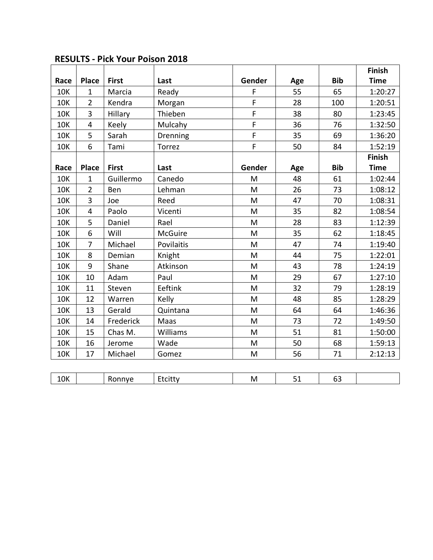|            |                |              |            |        |     |            | Finish      |
|------------|----------------|--------------|------------|--------|-----|------------|-------------|
| Race       | <b>Place</b>   | <b>First</b> | Last       | Gender | Age | <b>Bib</b> | <b>Time</b> |
| <b>10K</b> | $\mathbf{1}$   | Marcia       | Ready      | F      | 55  | 65         | 1:20:27     |
| <b>10K</b> | $\overline{2}$ | Kendra       | Morgan     | F      | 28  | 100        | 1:20:51     |
| <b>10K</b> | 3              | Hillary      | Thieben    | F      | 38  | 80         | 1:23:45     |
| <b>10K</b> | 4              | Keely        | Mulcahy    | F      | 36  | 76         | 1:32:50     |
| <b>10K</b> | 5              | Sarah        | Drenning   | F      | 35  | 69         | 1:36:20     |
| <b>10K</b> | 6              | Tami         | Torrez     | F      | 50  | 84         | 1:52:19     |
|            |                |              |            |        |     |            | Finish      |
| Race       | <b>Place</b>   | <b>First</b> | Last       | Gender | Age | <b>Bib</b> | <b>Time</b> |
| <b>10K</b> | $\mathbf 1$    | Guillermo    | Canedo     | M      | 48  | 61         | 1:02:44     |
| <b>10K</b> | $\overline{2}$ | Ben          | Lehman     | M      | 26  | 73         | 1:08:12     |
| <b>10K</b> | 3              | Joe          | Reed       | M      | 47  | 70         | 1:08:31     |
| <b>10K</b> | 4              | Paolo        | Vicenti    | M      | 35  | 82         | 1:08:54     |
| <b>10K</b> | 5              | Daniel       | Rael       | M      | 28  | 83         | 1:12:39     |
| <b>10K</b> | 6              | Will         | McGuire    | M      | 35  | 62         | 1:18:45     |
| <b>10K</b> | $\overline{7}$ | Michael      | Povilaitis | M      | 47  | 74         | 1:19:40     |
| <b>10K</b> | 8              | Demian       | Knight     | M      | 44  | 75         | 1:22:01     |
| 10K        | 9              | Shane        | Atkinson   | M      | 43  | 78         | 1:24:19     |
| <b>10K</b> | 10             | Adam         | Paul       | M      | 29  | 67         | 1:27:10     |
| <b>10K</b> | 11             | Steven       | Eeftink    | M      | 32  | 79         | 1:28:19     |
| <b>10K</b> | 12             | Warren       | Kelly      | M      | 48  | 85         | 1:28:29     |
| <b>10K</b> | 13             | Gerald       | Quintana   | M      | 64  | 64         | 1:46:36     |
| <b>10K</b> | 14             | Frederick    | Maas       | M      | 73  | 72         | 1:49:50     |
| <b>10K</b> | 15             | Chas M.      | Williams   | M      | 51  | 81         | 1:50:00     |
| <b>10K</b> | 16             | Jerome       | Wade       | M      | 50  | 68         | 1:59:13     |
| <b>10K</b> | 17             | Michael      | Gomez      | M      | 56  | 71         | 2:12:13     |
|            |                |              |            |        |     |            |             |

| <b>RESULTS - Pick Your Poison 2018</b> |  |  |  |
|----------------------------------------|--|--|--|
|----------------------------------------|--|--|--|

|  | $\sim\cdot$<br>1 K<br>---- |  | .<br>'N | IV. | – | ັັ |  |
|--|----------------------------|--|---------|-----|---|----|--|
|--|----------------------------|--|---------|-----|---|----|--|